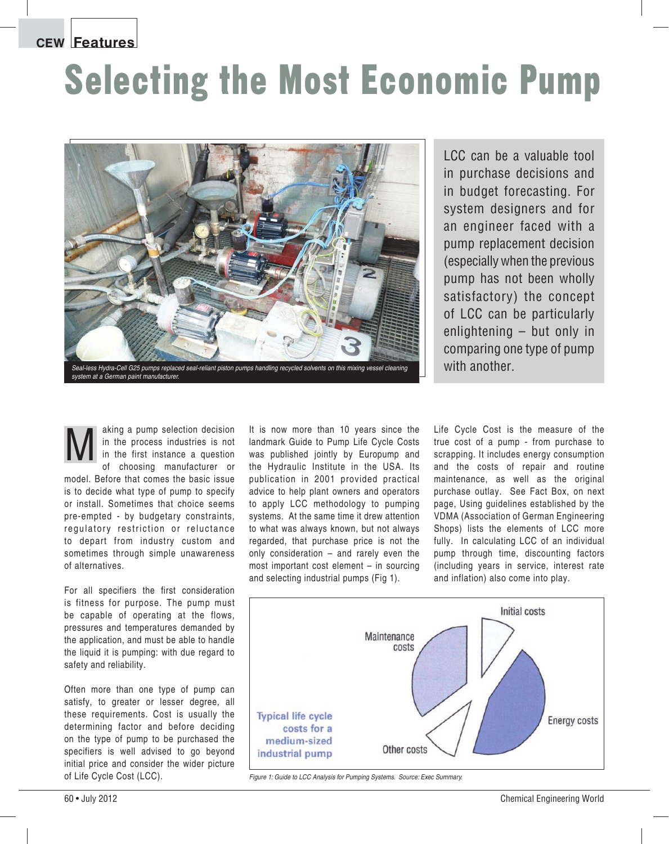**CEW Features**

## Selecting the Most Economic Pump



LCC can be a valuable tool in purchase decisions and in budget forecasting. For system designers and for an engineer faced with a pump replacement decision (especially when the previous pump has not been wholly satisfactory) the concept of LCC can be particularly enlightening – but only in comparing one type of pump

aking a pump selection decision in the process industries is not in the first instance a question of choosing manufacturer or model. Before that comes the basic issue is to decide what type of pump to specify or install. Sometimes that choice seems pre-empted - by budgetary constraints, regulatory restriction or reluctance to depart from industry custom and sometimes through simple unawareness of alternatives. aking a pump selection decision It is now more than 10 years since the<br>in the process industries is not Iandmark Guide to Pump Life Cycle Costs<br>in the first instance a question was published jointly by Europump and<br>of choo

For all specifiers the first consideration is fitness for purpose. The pump must be capable of operating at the flows, pressures and temperatures demanded by the application, and must be able to handle the liquid it is pumping: with due regard to safety and reliability.

Often more than one type of pump can satisfy, to greater or lesser degree, all these requirements. Cost is usually the determining factor and before deciding on the type of pump to be purchased the specifiers is well advised to go beyond initial price and consider the wider picture of Life Cycle Cost (LCC).

landmark Guide to Pump Life Cycle Costs was published jointly by Europump and the Hydraulic Institute in the USA. Its publication in 2001 provided practical advice to help plant owners and operators to apply LCC methodology to pumping systems. At the same time it drew attention to what was always known, but not always regarded, that purchase price is not the only consideration  $-$  and rarely even the most important cost element  $-$  in sourcing and selecting industrial pumps (Fig 1).

Life Cycle Cost is the measure of the true cost of a pump - from purchase to scrapping. It includes energy consumption and the costs of repair and routine maintenance, as well as the original purchase outlay. See Fact Box, on next page, Using guidelines established by the VDMA (Association of German Engineering Shops) lists the elements of LCC more fully. In calculating LCC of an individual pump through time, discounting factors (including years in service, interest rate and inflation) also come into play.



*Figure 1: Guide to LCC Analysis for Pumping Systems. Source: Exec Summary.*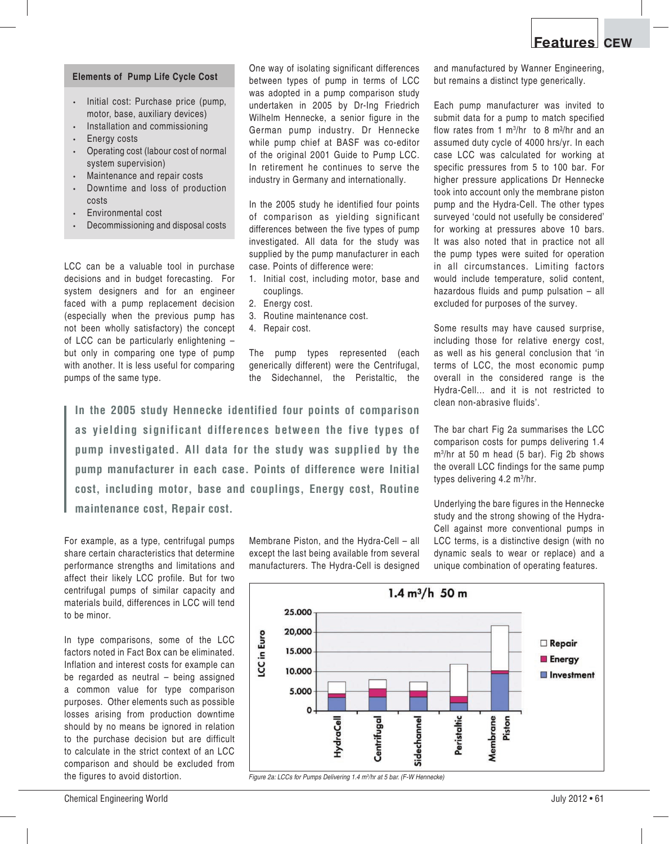## **Elements of Pump Life Cycle Cost**

- Initial cost: Purchase price (pump, motor, base, auxiliary devices)
- Installation and commissioning
- Energy costs
- Operating cost (labour cost of normal system supervision)
- Maintenance and repair costs
- Downtime and loss of production costs
- Environmental cost
- Decommissioning and disposal costs

LCC can be a valuable tool in purchase decisions and in budget forecasting. For system designers and for an engineer faced with a pump replacement decision (especially when the previous pump has not been wholly satisfactory) the concept of LCC can be particularly enlightening  $$ but only in comparing one type of pump with another. It is less useful for comparing pumps of the same type.

One way of isolating significant differences between types of pump in terms of LCC was adopted in a pump comparison study undertaken in 2005 by Dr-Ing Friedrich Wilhelm Hennecke, a senior figure in the German pump industry. Dr Hennecke while pump chief at BASF was co-editor of the original 2001 Guide to Pump LCC. In retirement he continues to serve the industry in Germany and internationally.

In the 2005 study he identified four points of comparison as yielding significant differences between the five types of pump investigated. All data for the study was supplied by the pump manufacturer in each case. Points of difference were:

- 1. Initial cost, including motor, base and couplings.
- 2. Energy cost.
- 3. Routine maintenance cost.
- 4. Repair cost.

The pump types represented (each generically different) were the Centrifugal, the Sidechannel, the Peristaltic, the and manufactured by Wanner Engineering, but remains a distinct type generically.

Each pump manufacturer was invited to submit data for a pump to match specified flow rates from 1 m3 /hr to 8 m3 /hr and an assumed duty cycle of 4000 hrs/yr. In each case LCC was calculated for working at specific pressures from 5 to 100 bar. For higher pressure applications Dr Hennecke took into account only the membrane piston pump and the Hydra-Cell. The other types surveyed 'could not usefully be considered' for working at pressures above 10 bars. It was also noted that in practice not all the pump types were suited for operation in all circumstances. Limiting factors would include temperature, solid content, hazardous fluids and pump pulsation  $-$  all excluded for purposes of the survey.

Some results may have caused surprise, including those for relative energy cost, as well as his general conclusion that 'in terms of LCC, the most economic pump overall in the considered range is the Hydra-Cell... and it is not restricted to clean non-abrasive fluids'.

The bar chart Fig 2a summarises the LCC comparison costs for pumps delivering 1.4 m3 /hr at 50 m head (5 bar). Fig 2b shows the overall LCC findings for the same pump types delivering 4.2 m3 /hr.

Underlying the bare figures in the Hennecke study and the strong showing of the Hydra-Cell against more conventional pumps in LCC terms, is a distinctive design (with no dynamic seals to wear or replace) and a unique combination of operating features.



For example, as a type, centrifugal pumps share certain characteristics that determine performance strengths and limitations and affect their likely LCC profile. But for two centrifugal pumps of similar capacity and materials build, differences in LCC will tend to be minor.

In type comparisons, some of the LCC factors noted in Fact Box can be eliminated. Inflation and interest costs for example can be regarded as neutral  $-$  being assigned a common value for type comparison purposes. Other elements such as possible losses arising from production downtime should by no means be ignored in relation to the purchase decision but are difficult to calculate in the strict context of an LCC comparison and should be excluded from the figures to avoid distortion.

Membrane Piston, and the Hydra-Cell  $-$  all except the last being available from several manufacturers. The Hydra-Cell is designed



*Figure 2a: LCCs for Pumps Delivering 1.4 m3 /hr at 5 bar. (F-W Hennecke)*